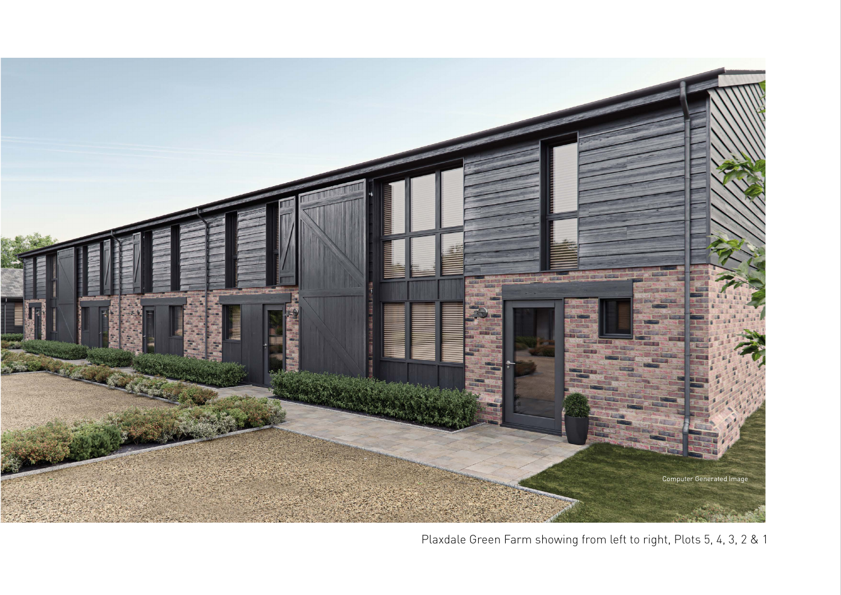

Plaxdale Green Farm showing from left to right, Plots 5, 4, 3, 2 & 1